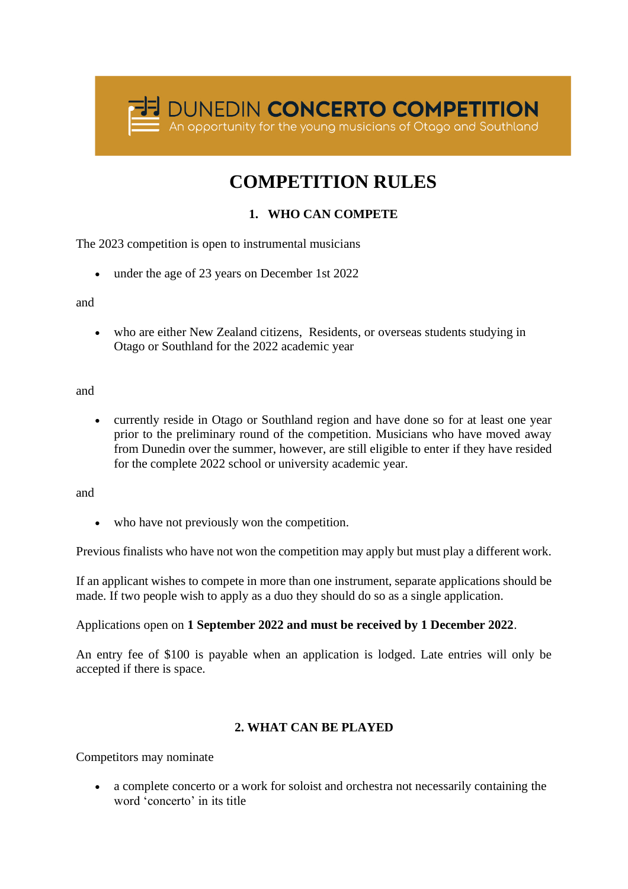# **COMPETITION RULES**

## **1. WHO CAN COMPETE**

The 2023 competition is open to instrumental musicians

• under the age of 23 years on December 1st 2022

and

• who are either New Zealand citizens, Residents, or overseas students studying in Otago or Southland for the 2022 academic year

and

• currently reside in Otago or Southland region and have done so for at least one year prior to the preliminary round of the competition. Musicians who have moved away from Dunedin over the summer, however, are still eligible to enter if they have resided for the complete 2022 school or university academic year.

and

• who have not previously won the competition.

Previous finalists who have not won the competition may apply but must play a different work.

If an applicant wishes to compete in more than one instrument, separate applications should be made. If two people wish to apply as a duo they should do so as a single application.

## Applications open on **1 September 2022 and must be received by 1 December 2022**.

An entry fee of \$100 is payable when an application is lodged. Late entries will only be accepted if there is space.

## **2. WHAT CAN BE PLAYED**

Competitors may nominate

• a complete concerto or a work for soloist and orchestra not necessarily containing the word 'concerto' in its title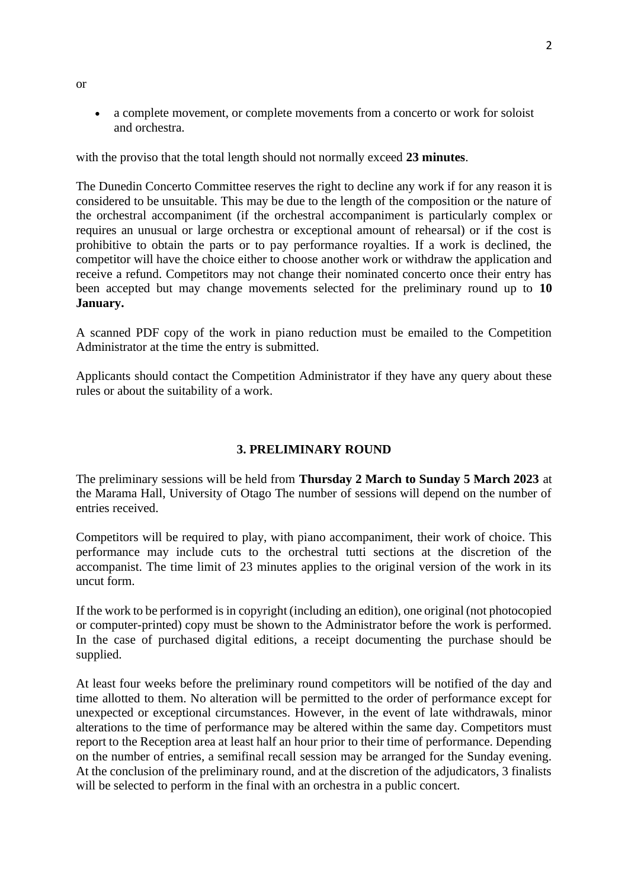• a complete movement, or complete movements from a concerto or work for soloist and orchestra.

with the proviso that the total length should not normally exceed **23 minutes**.

The Dunedin Concerto Committee reserves the right to decline any work if for any reason it is considered to be unsuitable. This may be due to the length of the composition or the nature of the orchestral accompaniment (if the orchestral accompaniment is particularly complex or requires an unusual or large orchestra or exceptional amount of rehearsal) or if the cost is prohibitive to obtain the parts or to pay performance royalties. If a work is declined, the competitor will have the choice either to choose another work or withdraw the application and receive a refund. Competitors may not change their nominated concerto once their entry has been accepted but may change movements selected for the preliminary round up to **10 January.**

A scanned PDF copy of the work in piano reduction must be emailed to the Competition Administrator at the time the entry is submitted.

Applicants should contact the Competition Administrator if they have any query about these rules or about the suitability of a work.

## **3. PRELIMINARY ROUND**

The preliminary sessions will be held from **Thursday 2 March to Sunday 5 March 2023** at the Marama Hall, University of Otago The number of sessions will depend on the number of entries received.

Competitors will be required to play, with piano accompaniment, their work of choice. This performance may include cuts to the orchestral tutti sections at the discretion of the accompanist. The time limit of 23 minutes applies to the original version of the work in its uncut form.

If the work to be performed is in copyright (including an edition), one original (not photocopied or computer-printed) copy must be shown to the Administrator before the work is performed. In the case of purchased digital editions, a receipt documenting the purchase should be supplied.

At least four weeks before the preliminary round competitors will be notified of the day and time allotted to them. No alteration will be permitted to the order of performance except for unexpected or exceptional circumstances. However, in the event of late withdrawals, minor alterations to the time of performance may be altered within the same day. Competitors must report to the Reception area at least half an hour prior to their time of performance. Depending on the number of entries, a semifinal recall session may be arranged for the Sunday evening. At the conclusion of the preliminary round, and at the discretion of the adjudicators, 3 finalists will be selected to perform in the final with an orchestra in a public concert.

or